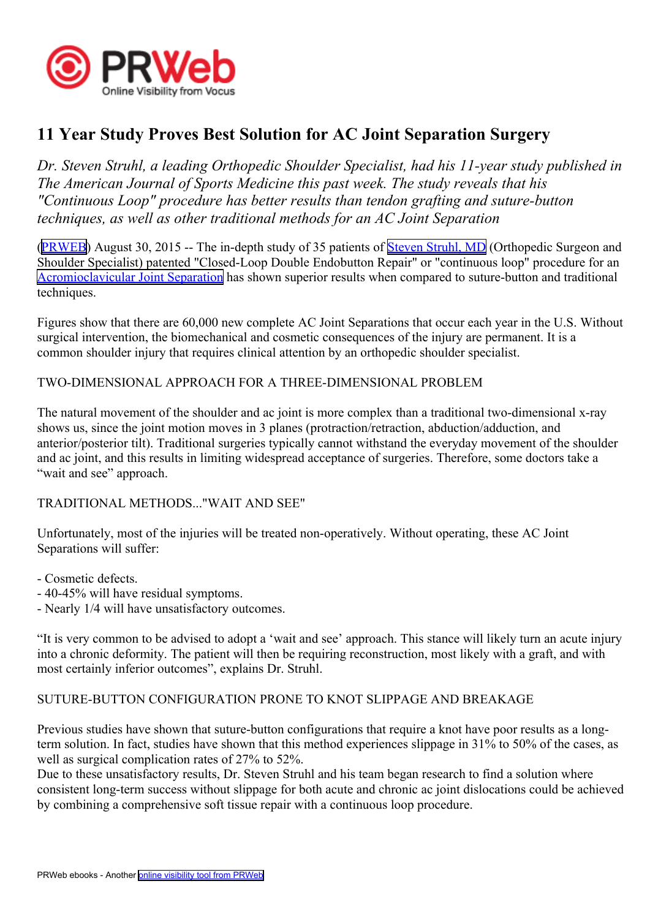

# **11 Year Study Proves Best Solution for AC Joint Separation Surgery**

*Dr. Steven Struhl, <sup>a</sup> leading Orthopedic Shoulder Specialist, had his 11-year study published in The American Journal of Sports Medicine this pas<sup>t</sup> week. The study reveals that his "Continuous Loop" procedure has better results than tendon grafting and suture-button techniques, as well as other traditional methods for an AC Joint Separation*

([PRWEB](http://www.prweb.com)) August 30, 2015 -- The in-depth study of 35 patients of Steven [Struhl,](http://www.shouldersandknees.com/steven-struhl-md.html) MD (Orthopedic Surgeon and Shoulder Specialist) patented "Closed-Loop Double Endobutton Repair" or "continuous loop" procedure for an [Acromioclavicular](http://www.acjointseparation.com) Joint Separation has shown superior results when compared to suture-button and traditional techniques.

Figures show that there are 60,000 new complete AC Joint Separations that occur each year in the U.S. Without surgical intervention, the biomechanical and cosmetic consequences of the injury are permanent. It is <sup>a</sup> common shoulder injury that requires clinical attention by an orthopedic shoulder specialist.

## TWO-DIMENSIONAL APPROACH FOR A THREE-DIMENSIONAL PROBLEM

The natural movement of the shoulder and ac joint is more complex than <sup>a</sup> traditional two-dimensional x-ray shows us, since the joint motion moves in 3 planes (protraction/retraction, abduction/adduction, and anterior/posterior tilt). Traditional surgeries typically cannot withstand the everyday movement of the shoulder and ac joint, and this results in limiting widespread acceptance of surgeries. Therefore, some doctors take <sup>a</sup> "wait and see" approach.

## TRADITIONAL METHODS..."WAIT AND SEE"

Unfortunately, most of the injuries will be treated non-operatively. Without operating, these AC Joint Separations will suffer:

- Cosmetic defects.
- 40-45% will have residual symptoms.
- Nearly 1/4 will have unsatisfactory outcomes.

"It is very common to be advised to adopt <sup>a</sup> 'wait and see' approach. This stance will likely turn an acute injury into <sup>a</sup> chronic deformity. The patient will then be requiring reconstruction, most likely with <sup>a</sup> graft, and with most certainly inferior outcomes", explains Dr. Struhl.

## SUTURE-BUTTON CONFIGURATION PRONE TO KNOT SLIPPAGE AND BREAKAGE

Previous studies have shown that suture-button configurations that require <sup>a</sup> knot have poor results as <sup>a</sup> longterm solution. In fact, studies have shown that this method experiences slippage in 31% to 50% of the cases, as well as surgical complication rates of 27% to 52%.

Due to these unsatisfactory results, Dr. Steven Struhl and his team began research to find <sup>a</sup> solution where consistent long-term success without slippage for both acute and chronic ac joint dislocations could be achieved by combining <sup>a</sup> comprehensive soft tissue repair with <sup>a</sup> continuous loop procedure.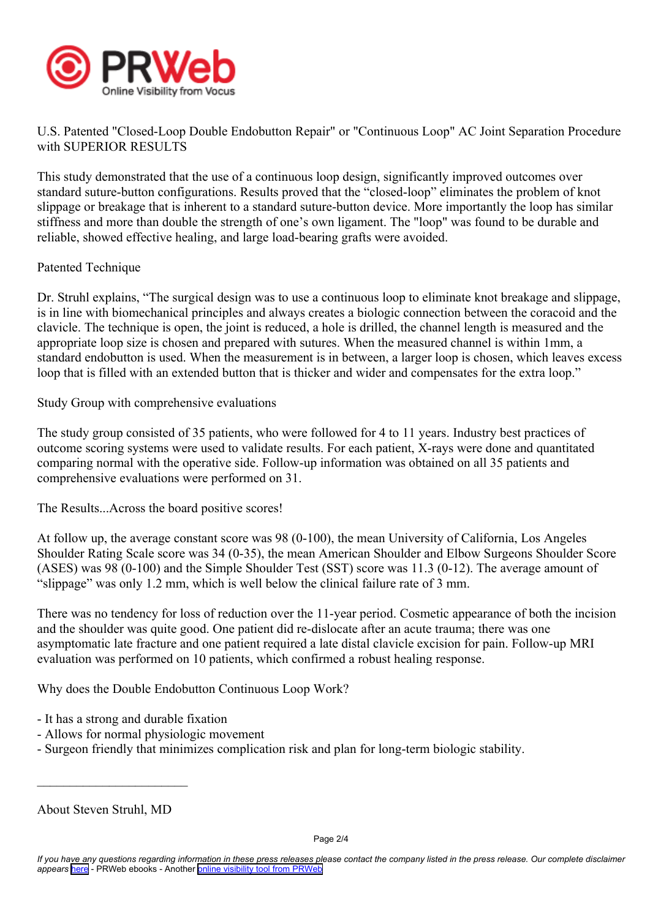

U.S. Patented "Closed-Loop Double Endobutton Repair" or "Continuous Loop" AC Joint Separation Procedure with SUPERIOR RESULTS

This study demonstrated that the use of <sup>a</sup> continuous loop design, significantly improved outcomes over standard suture-button configurations. Results proved that the "closed-loop" eliminates the problem of knot slippage or breakage that is inherent to <sup>a</sup> standard suture-button device. More importantly the loop has similar stiffness and more than double the strength of one's own ligament. The "loop" was found to be durable and reliable, showed effective healing, and large load-bearing grafts were avoided.

## Patented Technique

Dr. Struhl explains, "The surgical design was to use <sup>a</sup> continuous loop to eliminate knot breakage and slippage, is in line with biomechanical principles and always creates <sup>a</sup> biologic connection between the coracoid and the clavicle. The technique is open, the joint is reduced, <sup>a</sup> hole is drilled, the channel length is measured and the appropriate loop size is chosen and prepared with sutures. When the measured channel is within 1mm, <sup>a</sup> standard endobutton is used. When the measurement is in between, <sup>a</sup> larger loop is chosen, which leaves excess loop that is filled with an extended button that is thicker and wider and compensates for the extra loop."

Study Group with comprehensive evaluations

The study group consisted of 35 patients, who were followed for 4 to 11 years. Industry best practices of outcome scoring systems were used to validate results. For each patient, X-rays were done and quantitated comparing normal with the operative side. Follow-up information was obtained on all 35 patients and comprehensive evaluations were performed on 31.

The Results...Across the board positive scores!

At follow up, the average constant score was 98 (0-100), the mean University of California, Los Angeles Shoulder Rating Scale score was 34 (0-35), the mean American Shoulder and Elbow Surgeons Shoulder Score (ASES) was 98 (0-100) and the Simple Shoulder Test (SST) score was 11.3 (0-12). The average amount of "slippage" was only 1.2 mm, which is well below the clinical failure rate of 3 mm.

There was no tendency for loss of reduction over the 11-year period. Cosmetic appearance of both the incision and the shoulder was quite good. One patient did re-dislocate after an acute trauma; there was one asymptomatic late fracture and one patient required <sup>a</sup> late distal clavicle excision for pain. Follow-up MRI evaluation was performed on 10 patients, which confirmed <sup>a</sup> robust healing response.

Why does the Double Endobutton Continuous Loop Work?

- It has <sup>a</sup> strong and durable fixation
- Allows for normal physiologic movement
- Surgeon friendly that minimizes complication risk and plan for long-term biologic stability.

\_\_\_\_\_\_\_\_\_\_\_\_\_\_\_\_\_\_\_\_\_\_\_

About Steven Struhl, MD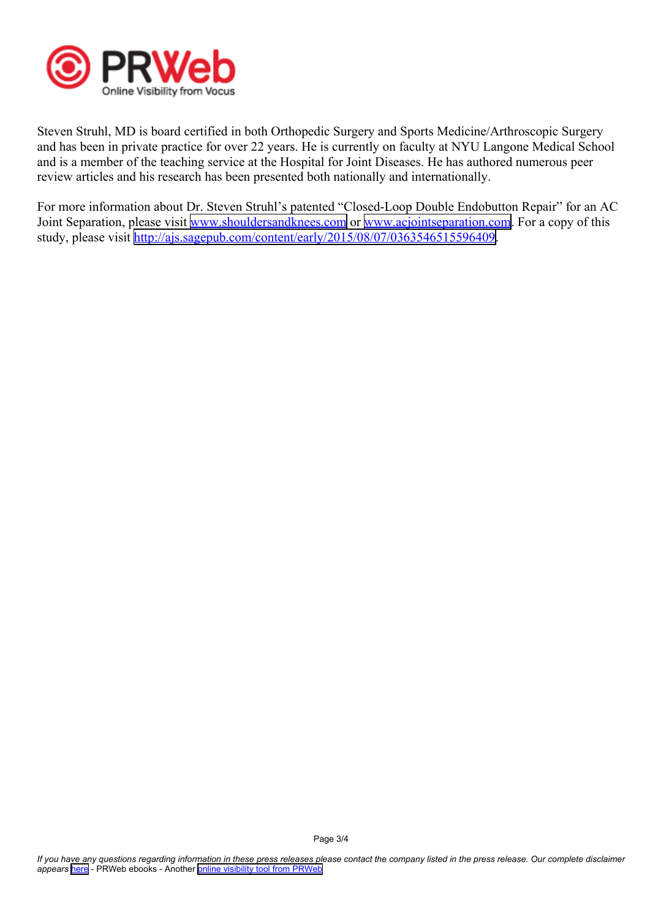

Steven Struhl, MD is board certified in both Orthopedic Surgery and Sports Medicine/Arthroscopic Surgery and has been in private practice for over 22 years. He is currently on faculty at NYU Langone Medical School and is <sup>a</sup> member of the teaching service at the Hospital for Joint Diseases. He has authored numerous peer review articles and his research has been presented both nationally and internationally.

For more information about Dr. Steven Struhl's patented "Closed-Loop Double Endobutton Repair" for an AC Joint Separation, please visit [www.shouldersandknees.com](http://www.shouldersandknees.com) or [www.acjointseparation.com](http://www.acjointseparation.com). For a copy of this study, please visit <http://ajs.sagepub.com/content/early/2015/08/07/0363546515596409>.